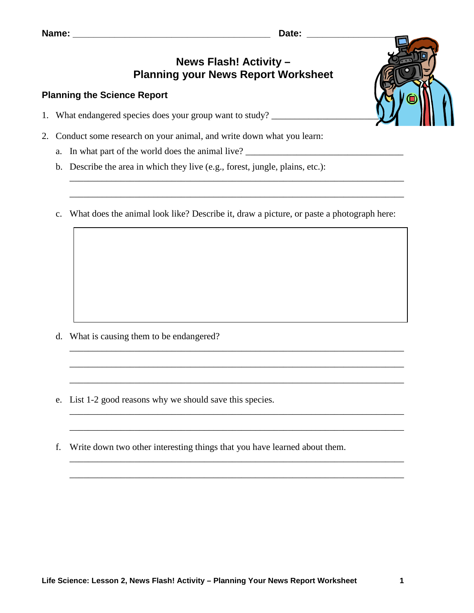| Name |  |  |  |  |  |
|------|--|--|--|--|--|
|------|--|--|--|--|--|

## **News Flash! Activity – Planning your News Report Worksheet**

## **Planning the Science Report**

- 1. What endangered species does your group want to study? \_\_\_\_\_\_\_\_\_\_\_\_\_\_\_\_\_\_\_\_\_\_
- 2. Conduct some research on your animal, and write down what you learn:
	- a. In what part of the world does the animal live? \_\_\_\_\_\_\_\_\_\_\_\_\_\_\_\_\_\_\_\_\_\_\_\_\_\_\_\_\_\_
	- b. Describe the area in which they live (e.g., forest, jungle, plains, etc.):
	- c. What does the animal look like? Describe it, draw a picture, or paste a photograph here:

\_\_\_\_\_\_\_\_\_\_\_\_\_\_\_\_\_\_\_\_\_\_\_\_\_\_\_\_\_\_\_\_\_\_\_\_\_\_\_\_\_\_\_\_\_\_\_\_\_\_\_\_\_\_\_\_\_\_\_\_\_\_\_\_\_\_\_\_\_\_\_\_

\_\_\_\_\_\_\_\_\_\_\_\_\_\_\_\_\_\_\_\_\_\_\_\_\_\_\_\_\_\_\_\_\_\_\_\_\_\_\_\_\_\_\_\_\_\_\_\_\_\_\_\_\_\_\_\_\_\_\_\_\_\_\_\_\_\_\_\_\_\_\_\_

\_\_\_\_\_\_\_\_\_\_\_\_\_\_\_\_\_\_\_\_\_\_\_\_\_\_\_\_\_\_\_\_\_\_\_\_\_\_\_\_\_\_\_\_\_\_\_\_\_\_\_\_\_\_\_\_\_\_\_\_\_\_\_\_\_\_\_\_\_\_\_\_

\_\_\_\_\_\_\_\_\_\_\_\_\_\_\_\_\_\_\_\_\_\_\_\_\_\_\_\_\_\_\_\_\_\_\_\_\_\_\_\_\_\_\_\_\_\_\_\_\_\_\_\_\_\_\_\_\_\_\_\_\_\_\_\_\_\_\_\_\_\_\_\_

\_\_\_\_\_\_\_\_\_\_\_\_\_\_\_\_\_\_\_\_\_\_\_\_\_\_\_\_\_\_\_\_\_\_\_\_\_\_\_\_\_\_\_\_\_\_\_\_\_\_\_\_\_\_\_\_\_\_\_\_\_\_\_\_\_\_\_\_\_\_\_\_

\_\_\_\_\_\_\_\_\_\_\_\_\_\_\_\_\_\_\_\_\_\_\_\_\_\_\_\_\_\_\_\_\_\_\_\_\_\_\_\_\_\_\_\_\_\_\_\_\_\_\_\_\_\_\_\_\_\_\_\_\_\_\_\_\_\_\_\_\_\_\_\_

\_\_\_\_\_\_\_\_\_\_\_\_\_\_\_\_\_\_\_\_\_\_\_\_\_\_\_\_\_\_\_\_\_\_\_\_\_\_\_\_\_\_\_\_\_\_\_\_\_\_\_\_\_\_\_\_\_\_\_\_\_\_\_\_\_\_\_\_\_\_\_\_

\_\_\_\_\_\_\_\_\_\_\_\_\_\_\_\_\_\_\_\_\_\_\_\_\_\_\_\_\_\_\_\_\_\_\_\_\_\_\_\_\_\_\_\_\_\_\_\_\_\_\_\_\_\_\_\_\_\_\_\_\_\_\_\_\_\_\_\_\_\_\_\_

\_\_\_\_\_\_\_\_\_\_\_\_\_\_\_\_\_\_\_\_\_\_\_\_\_\_\_\_\_\_\_\_\_\_\_\_\_\_\_\_\_\_\_\_\_\_\_\_\_\_\_\_\_\_\_\_\_\_\_\_\_\_\_\_\_\_\_\_\_\_\_\_

- d. What is causing them to be endangered?
- e. List 1-2 good reasons why we should save this species.
- f. Write down two other interesting things that you have learned about them.